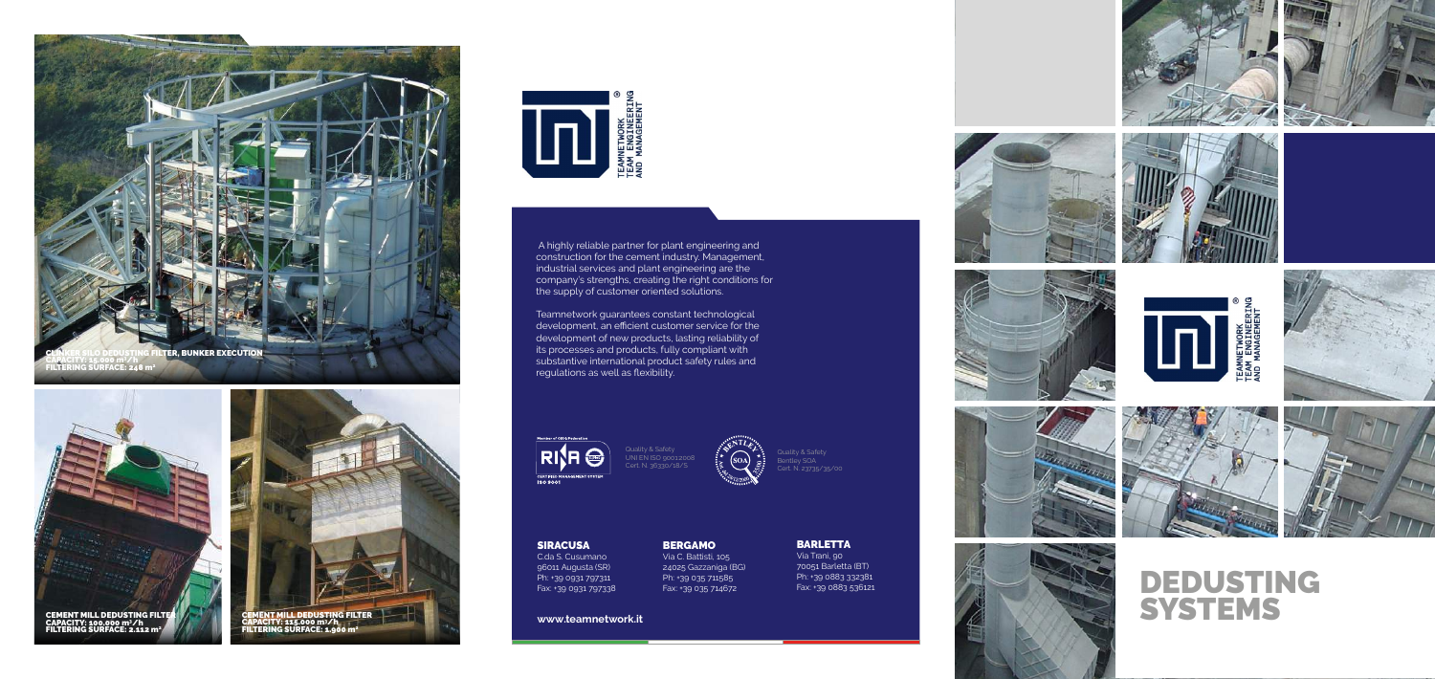**www.teamnetwork.it**

BERGAMO

Via C. Battisti, 105 24025 Gazzaniga (BG) Ph: +39 035 711585 Fax: +39 035 714672





















SIRACUSA

C.da S. Cusumano 96011 Augusta (SR) Ph: +39 0931 797311 Fax: +39 0931 797338

BARLETTA Via Trani, 90 70051 Barletta (BT) Ph: +39 0883 332381 Fax: +39 0883 536121

DEDUSTING SYSTEMS

 A highly reliable partner for plant engineering and construction for the cement industry. Management, industrial services and plant engineering are the company's strengths, creating the right conditions for the supply of customer oriented solutions.



Teamnetwork guarantees constant technological development, an efficient customer service for the development of new products, lasting reliability of its processes and products, fully compliant with substantive international product safety rules and regulations as well as flexibility.

**RISH** CERTIFIED M







Quality & Safety UNI EN ISO 9001:2008 Cert. N. 36330/18/S



Quality & Safety Bentley SOA Cert. N. 23735/35/00